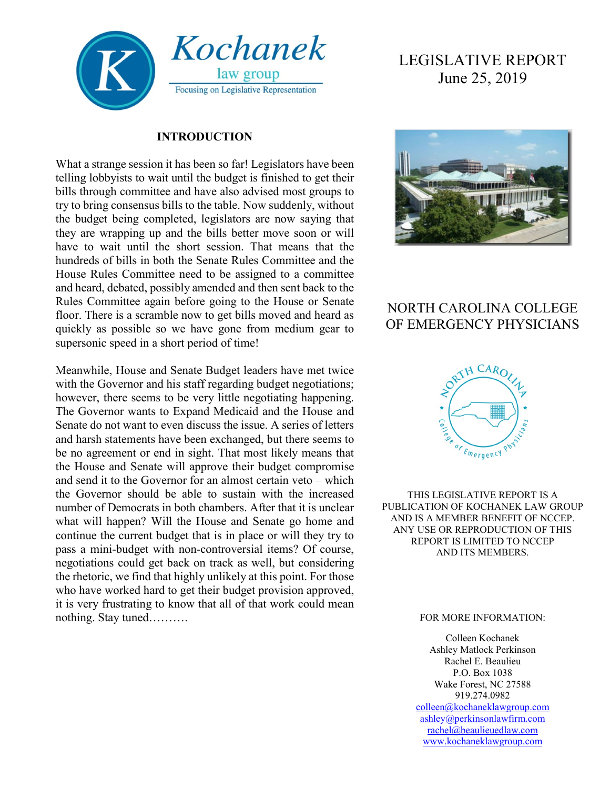

#### **INTRODUCTION**

What a strange session it has been so far! Legislators have been telling lobbyists to wait until the budget is finished to get their bills through committee and have also advised most groups to try to bring consensus bills to the table. Now suddenly, without the budget being completed, legislators are now saying that they are wrapping up and the bills better move soon or will have to wait until the short session. That means that the hundreds of bills in both the Senate Rules Committee and the House Rules Committee need to be assigned to a committee and heard, debated, possibly amended and then sent back to the Rules Committee again before going to the House or Senate floor. There is a scramble now to get bills moved and heard as quickly as possible so we have gone from medium gear to supersonic speed in a short period of time!

Meanwhile, House and Senate Budget leaders have met twice with the Governor and his staff regarding budget negotiations; however, there seems to be very little negotiating happening. The Governor wants to Expand Medicaid and the House and Senate do not want to even discuss the issue. A series of letters and harsh statements have been exchanged, but there seems to be no agreement or end in sight. That most likely means that the House and Senate will approve their budget compromise and send it to the Governor for an almost certain veto – which the Governor should be able to sustain with the increased number of Democrats in both chambers. After that it is unclear what will happen? Will the House and Senate go home and continue the current budget that is in place or will they try to pass a mini-budget with non-controversial items? Of course, negotiations could get back on track as well, but considering the rhetoric, we find that highly unlikely at this point. For those who have worked hard to get their budget provision approved, it is very frustrating to know that all of that work could mean nothing. Stay tuned……….

# LEGISLATIVE REPORT June 25, 2019



## NORTH CAROLINA COLLEGE OF EMERGENCY PHYSICIANS



THIS LEGISLATIVE REPORT IS A PUBLICATION OF KOCHANEK LAW GROUP AND IS A MEMBER BENEFIT OF NCCEP. ANY USE OR REPRODUCTION OF THIS REPORT IS LIMITED TO NCCEP AND ITS MEMBERS.

#### FOR MORE INFORMATION:

Colleen Kochanek Ashley Matlock Perkinson Rachel E. Beaulieu P.O. Box 1038 Wake Forest, NC 27588 919.274.0982 [colleen@kochaneklawgroup.com](mailto:colleen@kochaneklawgroup.com) [ashley@perkinsonlawfirm.com](mailto:ashley@perkinsonlawfirm.com) [rachel@beaulieuedlaw.com](mailto:rachel@beaulieuedlaw.com) [www.kochaneklawgroup.com](http://www.kochaneklawgroup.com/)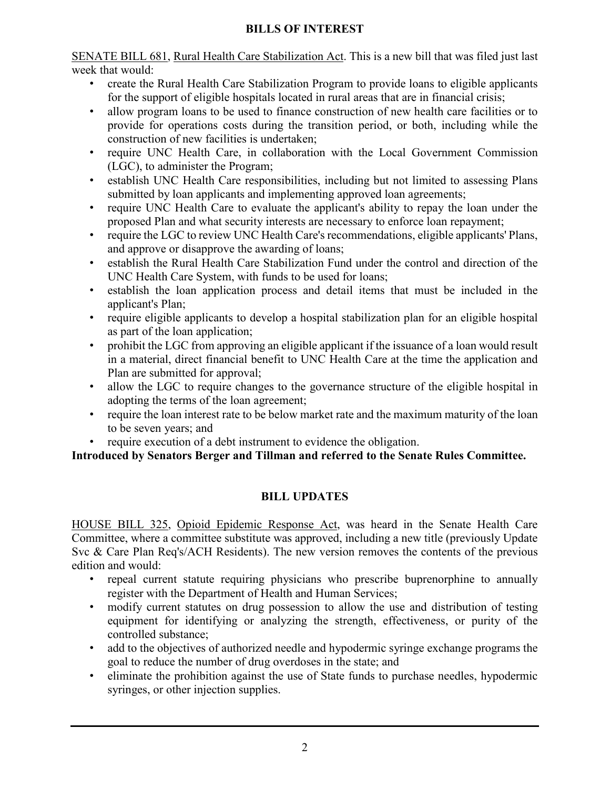#### **BILLS OF INTEREST**

SENATE BILL 681, Rural Health Care Stabilization Act. This is a new bill that was filed just last week that would:

- create the Rural Health Care Stabilization Program to provide loans to eligible applicants for the support of eligible hospitals located in rural areas that are in financial crisis;
- allow program loans to be used to finance construction of new health care facilities or to provide for operations costs during the transition period, or both, including while the construction of new facilities is undertaken;
- require UNC Health Care, in collaboration with the Local Government Commission (LGC), to administer the Program;
- establish UNC Health Care responsibilities, including but not limited to assessing Plans submitted by loan applicants and implementing approved loan agreements;
- require UNC Health Care to evaluate the applicant's ability to repay the loan under the proposed Plan and what security interests are necessary to enforce loan repayment;
- require the LGC to review UNC Health Care's recommendations, eligible applicants' Plans, and approve or disapprove the awarding of loans;
- establish the Rural Health Care Stabilization Fund under the control and direction of the UNC Health Care System, with funds to be used for loans;
- establish the loan application process and detail items that must be included in the applicant's Plan;
- require eligible applicants to develop a hospital stabilization plan for an eligible hospital as part of the loan application;
- prohibit the LGC from approving an eligible applicant if the issuance of a loan would result in a material, direct financial benefit to UNC Health Care at the time the application and Plan are submitted for approval;
- allow the LGC to require changes to the governance structure of the eligible hospital in adopting the terms of the loan agreement;
- require the loan interest rate to be below market rate and the maximum maturity of the loan to be seven years; and
- require execution of a debt instrument to evidence the obligation.

**Introduced by Senators Berger and Tillman and referred to the Senate Rules Committee.**

### **BILL UPDATES**

HOUSE BILL 325, Opioid Epidemic Response Act, was heard in the Senate Health Care Committee, where a committee substitute was approved, including a new title (previously Update Svc & Care Plan Req's/ACH Residents). The new version removes the contents of the previous edition and would:

- repeal current statute requiring physicians who prescribe buprenorphine to annually register with the Department of Health and Human Services;
- modify current statutes on drug possession to allow the use and distribution of testing equipment for identifying or analyzing the strength, effectiveness, or purity of the controlled substance;
- add to the objectives of authorized needle and hypodermic syringe exchange programs the goal to reduce the number of drug overdoses in the state; and
- eliminate the prohibition against the use of State funds to purchase needles, hypodermic syringes, or other injection supplies.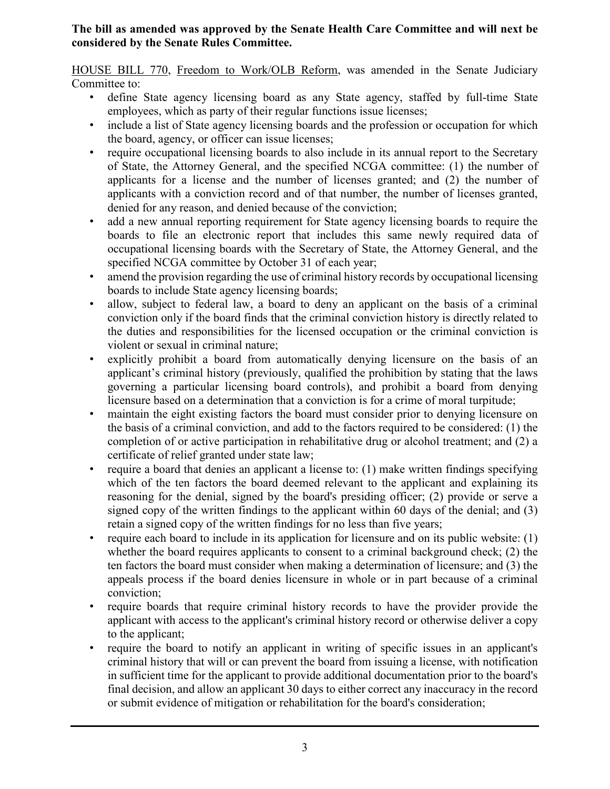#### **The bill as amended was approved by the Senate Health Care Committee and will next be considered by the Senate Rules Committee.**

HOUSE BILL 770, Freedom to Work/OLB Reform, was amended in the Senate Judiciary Committee to:

- define State agency licensing board as any State agency, staffed by full-time State employees, which as party of their regular functions issue licenses;
- include a list of State agency licensing boards and the profession or occupation for which the board, agency, or officer can issue licenses;
- require occupational licensing boards to also include in its annual report to the Secretary of State, the Attorney General, and the specified NCGA committee: (1) the number of applicants for a license and the number of licenses granted; and (2) the number of applicants with a conviction record and of that number, the number of licenses granted, denied for any reason, and denied because of the conviction;
- add a new annual reporting requirement for State agency licensing boards to require the boards to file an electronic report that includes this same newly required data of occupational licensing boards with the Secretary of State, the Attorney General, and the specified NCGA committee by October 31 of each year;
- amend the provision regarding the use of criminal history records by occupational licensing boards to include State agency licensing boards;
- allow, subject to federal law, a board to deny an applicant on the basis of a criminal conviction only if the board finds that the criminal conviction history is directly related to the duties and responsibilities for the licensed occupation or the criminal conviction is violent or sexual in criminal nature;
- explicitly prohibit a board from automatically denying licensure on the basis of an applicant's criminal history (previously, qualified the prohibition by stating that the laws governing a particular licensing board controls), and prohibit a board from denying licensure based on a determination that a conviction is for a crime of moral turpitude;
- maintain the eight existing factors the board must consider prior to denying licensure on the basis of a criminal conviction, and add to the factors required to be considered: (1) the completion of or active participation in rehabilitative drug or alcohol treatment; and (2) a certificate of relief granted under state law;
- require a board that denies an applicant a license to: (1) make written findings specifying which of the ten factors the board deemed relevant to the applicant and explaining its reasoning for the denial, signed by the board's presiding officer; (2) provide or serve a signed copy of the written findings to the applicant within 60 days of the denial; and (3) retain a signed copy of the written findings for no less than five years;
- require each board to include in its application for licensure and on its public website: (1) whether the board requires applicants to consent to a criminal background check; (2) the ten factors the board must consider when making a determination of licensure; and (3) the appeals process if the board denies licensure in whole or in part because of a criminal conviction;
- require boards that require criminal history records to have the provider provide the applicant with access to the applicant's criminal history record or otherwise deliver a copy to the applicant;
- require the board to notify an applicant in writing of specific issues in an applicant's criminal history that will or can prevent the board from issuing a license, with notification in sufficient time for the applicant to provide additional documentation prior to the board's final decision, and allow an applicant 30 days to either correct any inaccuracy in the record or submit evidence of mitigation or rehabilitation for the board's consideration;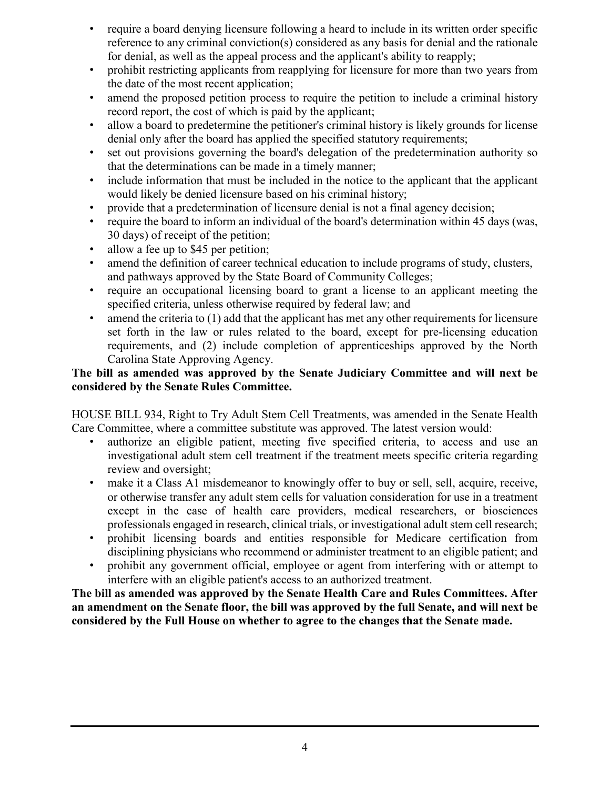- require a board denying licensure following a heard to include in its written order specific reference to any criminal conviction(s) considered as any basis for denial and the rationale for denial, as well as the appeal process and the applicant's ability to reapply;
- prohibit restricting applicants from reapplying for licensure for more than two years from the date of the most recent application;
- amend the proposed petition process to require the petition to include a criminal history record report, the cost of which is paid by the applicant;
- allow a board to predetermine the petitioner's criminal history is likely grounds for license denial only after the board has applied the specified statutory requirements;
- set out provisions governing the board's delegation of the predetermination authority so that the determinations can be made in a timely manner;
- include information that must be included in the notice to the applicant that the applicant would likely be denied licensure based on his criminal history;
- provide that a predetermination of licensure denial is not a final agency decision;
- require the board to inform an individual of the board's determination within 45 days (was, 30 days) of receipt of the petition;
- allow a fee up to \$45 per petition;
- amend the definition of career technical education to include programs of study, clusters, and pathways approved by the State Board of Community Colleges;
- require an occupational licensing board to grant a license to an applicant meeting the specified criteria, unless otherwise required by federal law; and
- amend the criteria to  $(1)$  add that the applicant has met any other requirements for licensure set forth in the law or rules related to the board, except for pre-licensing education requirements, and (2) include completion of apprenticeships approved by the North Carolina State Approving Agency.

#### **The bill as amended was approved by the Senate Judiciary Committee and will next be considered by the Senate Rules Committee.**

HOUSE BILL 934, Right to Try Adult Stem Cell Treatments, was amended in the Senate Health Care Committee, where a committee substitute was approved. The latest version would:

- authorize an eligible patient, meeting five specified criteria, to access and use an investigational adult stem cell treatment if the treatment meets specific criteria regarding review and oversight;
- make it a Class A1 misdemeanor to knowingly offer to buy or sell, sell, acquire, receive, or otherwise transfer any adult stem cells for valuation consideration for use in a treatment except in the case of health care providers, medical researchers, or biosciences professionals engaged in research, clinical trials, or investigational adult stem cell research;
- prohibit licensing boards and entities responsible for Medicare certification from disciplining physicians who recommend or administer treatment to an eligible patient; and
- prohibit any government official, employee or agent from interfering with or attempt to interfere with an eligible patient's access to an authorized treatment.

**The bill as amended was approved by the Senate Health Care and Rules Committees. After an amendment on the Senate floor, the bill was approved by the full Senate, and will next be considered by the Full House on whether to agree to the changes that the Senate made.**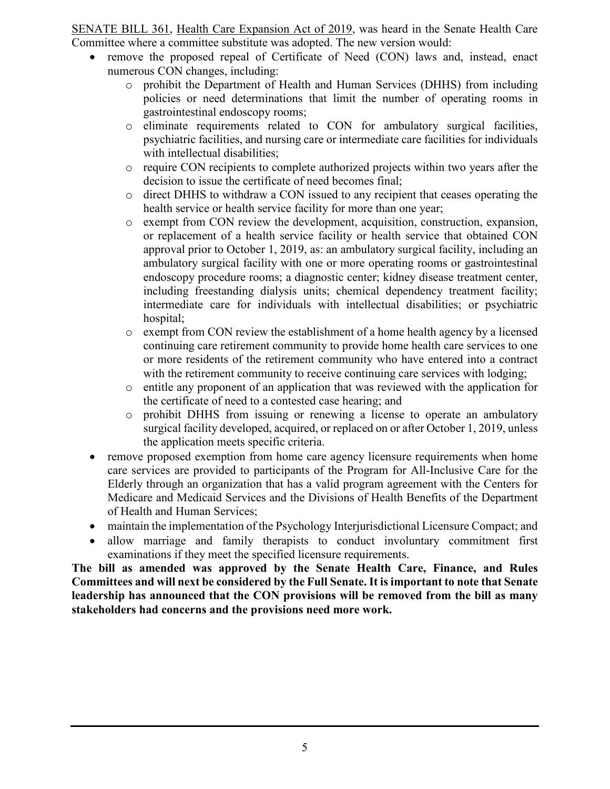SENATE BILL 361, Health Care Expansion Act of 2019, was heard in the Senate Health Care Committee where a committee substitute was adopted. The new version would:

- remove the proposed repeal of Certificate of Need (CON) laws and, instead, enact numerous CON changes, including:
	- o prohibit the Department of Health and Human Services (DHHS) from including policies or need determinations that limit the number of operating rooms in gastrointestinal endoscopy rooms;
	- o eliminate requirements related to CON for ambulatory surgical facilities, psychiatric facilities, and nursing care or intermediate care facilities for individuals with intellectual disabilities;
	- o require CON recipients to complete authorized projects within two years after the decision to issue the certificate of need becomes final;
	- o direct DHHS to withdraw a CON issued to any recipient that ceases operating the health service or health service facility for more than one year;
	- o exempt from CON review the development, acquisition, construction, expansion, or replacement of a health service facility or health service that obtained CON approval prior to October 1, 2019, as: an ambulatory surgical facility, including an ambulatory surgical facility with one or more operating rooms or gastrointestinal endoscopy procedure rooms; a diagnostic center; kidney disease treatment center, including freestanding dialysis units; chemical dependency treatment facility; intermediate care for individuals with intellectual disabilities; or psychiatric hospital;
	- o exempt from CON review the establishment of a home health agency by a licensed continuing care retirement community to provide home health care services to one or more residents of the retirement community who have entered into a contract with the retirement community to receive continuing care services with lodging;
	- o entitle any proponent of an application that was reviewed with the application for the certificate of need to a contested case hearing; and
	- o prohibit DHHS from issuing or renewing a license to operate an ambulatory surgical facility developed, acquired, or replaced on or after October 1, 2019, unless the application meets specific criteria.
- remove proposed exemption from home care agency licensure requirements when home care services are provided to participants of the Program for All-Inclusive Care for the Elderly through an organization that has a valid program agreement with the Centers for Medicare and Medicaid Services and the Divisions of Health Benefits of the Department of Health and Human Services;
- maintain the implementation of the Psychology Interjurisdictional Licensure Compact; and
- allow marriage and family therapists to conduct involuntary commitment first examinations if they meet the specified licensure requirements.

**The bill as amended was approved by the Senate Health Care, Finance, and Rules Committees and will next be considered by the Full Senate. It is important to note that Senate leadership has announced that the CON provisions will be removed from the bill as many stakeholders had concerns and the provisions need more work.**